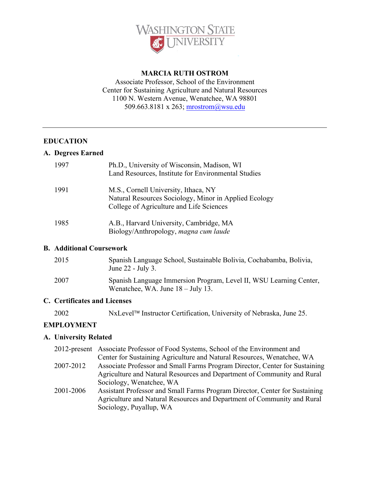

#### **MARCIA RUTH OSTROM**

Associate Professor, School of the Environment Center for Sustaining Agriculture and Natural Resources 1100 N. Western Avenue, Wenatchee, WA 98801 509.663.8181 x 263; mrostrom@wsu.edu

#### **EDUCATION**

#### **A. Degrees Earned**

| 1997 | Ph.D., University of Wisconsin, Madison, WI<br>Land Resources, Institute for Environmental Studies                                        |
|------|-------------------------------------------------------------------------------------------------------------------------------------------|
| 1991 | M.S., Cornell University, Ithaca, NY<br>Natural Resources Sociology, Minor in Applied Ecology<br>College of Agriculture and Life Sciences |
| 1985 | A.B., Harvard University, Cambridge, MA<br>Biology/Anthropology, magna cum laude                                                          |

#### **B. Additional Coursework**

| 2015 | Spanish Language School, Sustainable Bolivia, Cochabamba, Bolivia,<br>June 22 - July 3.                            |
|------|--------------------------------------------------------------------------------------------------------------------|
| 2007 | Spanish Language Immersion Program, Level II, WSU Learning Center,<br>Wenatchee, WA. June $18 - \text{July } 13$ . |

#### **C. Certificates and Licenses**

2002 NxLevel<sup>™</sup> Instructor Certification, University of Nebraska, June 25.

#### **EMPLOYMENT**

#### **A. University Related**

|           | 2012-present Associate Professor of Food Systems, School of the Environment and |
|-----------|---------------------------------------------------------------------------------|
|           | Center for Sustaining Agriculture and Natural Resources, Wenatchee, WA          |
| 2007-2012 | Associate Professor and Small Farms Program Director, Center for Sustaining     |
|           | Agriculture and Natural Resources and Department of Community and Rural         |
|           | Sociology, Wenatchee, WA                                                        |
| 2001-2006 | Assistant Professor and Small Farms Program Director, Center for Sustaining     |
|           | Agriculture and Natural Resources and Department of Community and Rural         |
|           | Sociology, Puyallup, WA                                                         |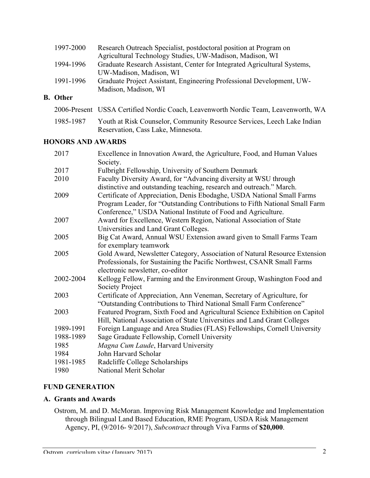| 1997-2000 | Research Outreach Specialist, postdoctoral position at Program on        |
|-----------|--------------------------------------------------------------------------|
|           | Agricultural Technology Studies, UW-Madison, Madison, WI                 |
| 1994-1996 | Graduate Research Assistant, Center for Integrated Agricultural Systems, |
|           | UW-Madison, Madison, WI                                                  |
| 1991-1996 | Graduate Project Assistant, Engineering Professional Development, UW-    |
|           | Madison, Madison, WI                                                     |

**B. Other**

|           | 2006-Present USSA Certified Nordic Coach, Leavenworth Nordic Team, Leavenworth, WA |
|-----------|------------------------------------------------------------------------------------|
| 1985-1987 | Youth at Risk Counselor, Community Resource Services, Leech Lake Indian            |
|           | Reservation, Cass Lake, Minnesota.                                                 |

#### **HONORS AND AWARDS**

| Excellence in Innovation Award, the Agriculture, Food, and Human Values                                                                               |
|-------------------------------------------------------------------------------------------------------------------------------------------------------|
| Society.                                                                                                                                              |
| Fulbright Fellowship, University of Southern Denmark                                                                                                  |
| Faculty Diversity Award, for "Advancing diversity at WSU through<br>distinctive and outstanding teaching, research and outreach." March.              |
| Certificate of Appreciation, Denis Ebodaghe, USDA National Small Farms<br>Program Leader, for "Outstanding Contributions to Fifth National Small Farm |
| Conference," USDA National Institute of Food and Agriculture.                                                                                         |
| Award for Excellence, Western Region, National Association of State                                                                                   |
| Universities and Land Grant Colleges.                                                                                                                 |
| Big Cat Award, Annual WSU Extension award given to Small Farms Team                                                                                   |
| for exemplary teamwork                                                                                                                                |
| Gold Award, Newsletter Category, Association of Natural Resource Extension                                                                            |
| Professionals, for Sustaining the Pacific Northwest, CSANR Small Farms                                                                                |
| electronic newsletter, co-editor                                                                                                                      |
| Kellogg Fellow, Farming and the Environment Group, Washington Food and                                                                                |
| Society Project                                                                                                                                       |
| Certificate of Appreciation, Ann Veneman, Secretary of Agriculture, for                                                                               |
| "Outstanding Contributions to Third National Small Farm Conference"                                                                                   |
| Featured Program, Sixth Food and Agricultural Science Exhibition on Capitol                                                                           |
| Hill, National Association of State Universities and Land Grant Colleges                                                                              |
| Foreign Language and Area Studies (FLAS) Fellowships, Cornell University                                                                              |
| Sage Graduate Fellowship, Cornell University                                                                                                          |
| Magna Cum Laude, Harvard University                                                                                                                   |
| John Harvard Scholar                                                                                                                                  |
| Radcliffe College Scholarships                                                                                                                        |
| National Merit Scholar                                                                                                                                |
|                                                                                                                                                       |

## **FUND GENERATION**

#### **A. Grants and Awards**

Ostrom, M. and D. McMoran. Improving Risk Management Knowledge and Implementation through Bilingual Land Based Education, RME Program, USDA Risk Management Agency, PI, (9/2016- 9/2017), *Subcontract* through Viva Farms of **\$20,000**.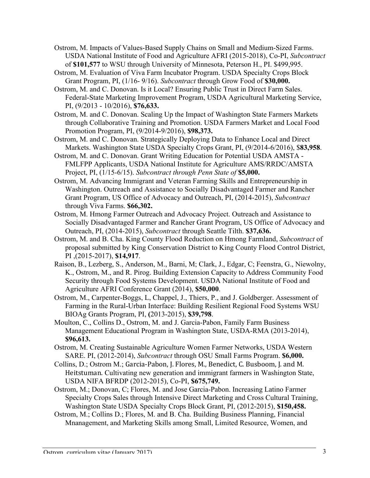- Ostrom, M. Impacts of Values-Based Supply Chains on Small and Medium-Sized Farms. USDA National Institute of Food and Agriculture AFRI (2015-2018), Co-PI, *Subcontract* of **\$101,577** to WSU through University of Minnesota, Peterson H., PI. \$499,995.
- Ostrom, M. Evaluation of Viva Farm Incubator Program. USDA Specialty Crops Block Grant Program, PI, (1/16- 9/16). *Subcontract* through Grow Food of **\$30,000.**
- Ostrom, M. and C. Donovan. Is it Local? Ensuring Public Trust in Direct Farm Sales. Federal-State Marketing Improvement Program, USDA Agricultural Marketing Service, PI, (9/2013 - 10/2016), **\$76,633.**
- Ostrom, M. and C. Donovan. Scaling Up the Impact of Washington State Farmers Markets through Collaborative Training and Promotion. USDA Farmers Market and Local Food Promotion Program, PI, (9/2014-9/2016), **\$98,373.**
- Ostrom, M. and C. Donovan. Strategically Deploying Data to Enhance Local and Direct Markets. Washington State USDA Specialty Crops Grant, PI, (9/2014-6/2016), \$**83,958**.
- Ostrom, M. and C. Donovan. Grant Writing Education for Potential USDA AMSTA FMLFPP Applicants, USDA National Institute for Agriculture AMS/RRDC/AMSTA Project, PI, (1/15-6/15). *Subcontract through Penn State of* **\$5,000.**
- Ostrom, M. Advancing Immigrant and Veteran Farming Skills and Entrepreneurship in Washington. Outreach and Assistance to Socially Disadvantaged Farmer and Rancher Grant Program, US Office of Advocacy and Outreach, PI, (2014-2015), *Subcontract* through Viva Farms. **\$66,302.**
- Ostrom, M. Hmong Farmer Outreach and Advocacy Project. Outreach and Assistance to Socially Disadvantaged Farmer and Rancher Grant Program, US Office of Advocacy and Outreach, PI, (2014-2015), *Subcontract* through Seattle Tilth. **\$37,636.**
- Ostrom, M. and B. Cha. King County Flood Reduction on Hmong Farmland, *Subcontract* of proposal submitted by King Conservation District to King County Flood Control District, PI ,(2015-2017), **\$14,917**.
- Raison, B., Lezberg, S., Anderson, M., Barni, M; Clark, J., Edgar, C; Feenstra, G., Niewolny, K., Ostrom, M., and R. Pirog. Building Extension Capacity to Address Community Food Security through Food Systems Development. USDA National Institute of Food and Agriculture AFRI Conference Grant (2014), **\$50,000**.
- Ostrom, M., Carpenter-Boggs, L, Chappel, J., Thiers, P., and J. Goldberger. Assessment of Farming in the Rural-Urban Interface: Building Resilient Regional Food Systems WSU BIOAg Grants Program, PI, **(**2013-2015), **\$39,798**.
- Moulton, C., Collins D., Ostrom, M. and J. Garcia-Pabon, Family Farm Business Management Educational Program in Washington State, USDA-RMA (2013-2014), **\$96,613.**
- Ostrom, M. Creating Sustainable Agriculture Women Farmer Networks, USDA Western SARE. PI, (2012-2014), *Subcontract* through OSU Small Farms Program. **\$6,000.**
- Collins, D.; Ostrom M.; Garcia-Pabon, J. Flores, M., Benedict, C. Busboom, J. and M. Heitstuman. Cultivating new generation and immigrant farmers in Washington State, USDA NIFA BFRDP (2012-2015), Co-PI, **\$675,749.**
- Ostrom, M.; Donovan, C; Flores, M. and Jose Garcia-Pabon. Increasing Latino Farmer Specialty Crops Sales through Intensive Direct Marketing and Cross Cultural Training, Washington State USDA Specialty Crops Block Grant, PI, (2012-2015), **\$150,458.**
- Ostrom, M.; Collins D.; Flores, M. and B. Cha. Building Business Planning, Financial Mnanagement, and Marketing Skills among Small, Limited Resource, Women, and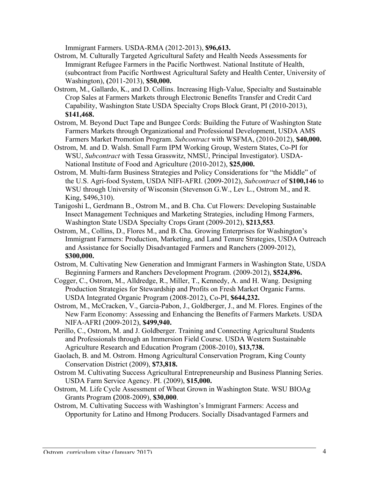Immigrant Farmers. USDA-RMA (2012-2013), **\$96,613.**

- Ostrom, M. Culturally Targeted Agricultural Safety and Health Needs Assessments for Immigrant Refugee Farmers in the Pacific Northwest. National Institute of Health, (subcontract from Pacific Northwest Agricultural Safety and Health Center, University of Washington), **(**2011-2013), **\$50,000.**
- Ostrom, M., Gallardo, K., and D. Collins. Increasing High-Value, Specialty and Sustainable Crop Sales at Farmers Markets through Electronic Benefits Transfer and Credit Card Capability, Washington State USDA Specialty Crops Block Grant, PI (2010-2013), **\$141,468.**
- Ostrom, M. Beyond Duct Tape and Bungee Cords: Building the Future of Washington State Farmers Markets through Organizational and Professional Development, USDA AMS Farmers Market Promotion Program. *Subcontract* with WSFMA, (2010-2012), **\$40,000.**
- Ostrom, M. and D. Walsh. Small Farm IPM Working Group, Western States, Co-PI for WSU, *Subcontract* with Tessa Grasswitz, NMSU, Principal Investigator). USDA-National Institute of Food and Agriculture (2010-2012), **\$25,000.**
- Ostrom, M. Multi-farm Business Strategies and Policy Considerations for "the Middle" of the U.S. Agri-food System, USDA NIFI-AFRI. (2009-2012), *Subcontract* of **\$100,146** to WSU through University of Wisconsin (Stevenson G.W., Lev L., Ostrom M., and R. King, \$496,310).
- Tanigoshi L, Gerdmann B., Ostrom M., and B. Cha. Cut Flowers: Developing Sustainable Insect Management Techniques and Marketing Strategies, including Hmong Farmers, Washington State USDA Specialty Crops Grant (2009-2012), **\$213,553**.
- Ostrom, M., Collins, D., Flores M., and B. Cha. Growing Enterprises for Washington's Immigrant Farmers: Production, Marketing, and Land Tenure Strategies, USDA Outreach and Assistance for Socially Disadvantaged Farmers and Ranchers (2009-2012), **\$300,000.**
- Ostrom, M. Cultivating New Generation and Immigrant Farmers in Washington State, USDA Beginning Farmers and Ranchers Development Program. (2009-2012), **\$524,896.**
- Cogger, C., Ostrom, M., Alldredge, R., Miller, T., Kennedy, A. and H. Wang. Designing Production Strategies for Stewardship and Profits on Fresh Market Organic Farms. USDA Integrated Organic Program (2008-2012), Co-PI, **\$644,232.**
- Ostrom, M., McCracken, V., Garcia-Pabon, J., Goldberger, J., and M. Flores. Engines of the New Farm Economy: Assessing and Enhancing the Benefits of Farmers Markets. USDA NIFA-AFRI (2009-2012), **\$499,940.**
- Perillo, C., Ostrom, M. and J. Goldberger. Training and Connecting Agricultural Students and Professionals through an Immersion Field Course. USDA Western Sustainable Agriculture Research and Education Program (2008-2010), **\$13,738.**
- Gaolach, B. and M. Ostrom. Hmong Agricultural Conservation Program, King County Conservation District (2009), **\$73,818.**
- Ostrom M. Cultivating Success Agricultural Entrepreneurship and Business Planning Series. USDA Farm Service Agency. PI. (2009), **\$15,000.**
- Ostrom, M. Life Cycle Assessment of Wheat Grown in Washington State. WSU BIOAg Grants Program **(**2008-2009), **\$30,000**.
- Ostrom, M. Cultivating Success with Washington's Immigrant Farmers: Access and Opportunity for Latino and Hmong Producers. Socially Disadvantaged Farmers and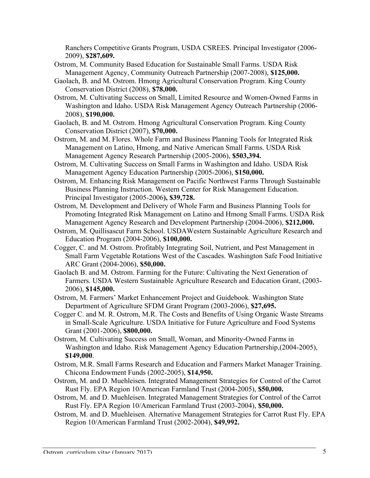Ranchers Competitive Grants Program, USDA CSREES. Principal Investigator (2006- 2009), **\$287,609.**

- Ostrom, M. Community Based Education for Sustainable Small Farms. USDA Risk Management Agency, Community Outreach Partnership (2007-2008), **\$125,000.**
- Gaolach, B. and M. Ostrom. Hmong Agricultural Conservation Program. King County Conservation District (2008), **\$78,000.**
- Ostrom, M. Cultivating Success on Small, Limited Resource and Women-Owned Farms in Washington and Idaho. USDA Risk Management Agency Outreach Partnership (2006- 2008), **\$190,000.**
- Gaolach, B. and M. Ostrom. Hmong Agricultural Conservation Program. King County Conservation District (2007), **\$70,000.**
- Ostrom, M. and M. Flores. Whole Farm and Business Planning Tools for Integrated Risk Management on Latino, Hmong, and Native American Small Farms. USDA Risk Management Agency Research Partnership (2005-2006), **\$503,394.**
- Ostrom, M. Cultivating Success on Small Farms in Washington and Idaho. USDA Risk Management Agency Education Partnership (2005-2006), **\$150,000.**
- Ostrom, M. Enhancing Risk Management on Pacific Northwest Farms Through Sustainable Business Planning Instruction. Western Center for Risk Management Education. Principal Investigator (2005-2006**), \$39,728.**
- Ostrom, M. Development and Delivery of Whole Farm and Business Planning Tools for Promoting Integrated Risk Management on Latino and Hmong Small Farms. USDA Risk Management Agency Research and Development Partnership (2004-2006), **\$212,000.**
- Ostrom, M. Quillisascut Farm School. USDAWestern Sustainable Agriculture Research and Education Program (2004-2006), **\$100,000.**
- Cogger, C. and M. Ostrom. Profitably Integrating Soil, Nutrient, and Pest Management in Small Farm Vegetable Rotations West of the Cascades. Washington Safe Food Initiative ARC Grant (2004-2006), **\$50,000.**
- Gaolach B. and M. Ostrom. Farming for the Future: Cultivating the Next Generation of Farmers. USDA Western Sustainable Agriculture Research and Education Grant, (2003- 2006), **\$145,000.**
- Ostrom, M. Farmers' Market Enhancement Project and Guidebook*.* Washington State Department of Agriculture SFDM Grant Program (2003-2006), **\$27,695.**
- Cogger C. and M. R. Ostrom, M.R. The Costs and Benefits of Using Organic Waste Streams in Small-Scale Agriculture. USDA Initiative for Future Agriculture and Food Systems Grant (2001-2006), **\$800,000.**
- Ostrom, M. Cultivating Success on Small, Woman, and Minority-Owned Farms in Washington and Idaho. Risk Management Agency Education Partnership,(2004-2005), **\$149,000**.
- Ostrom, M.R. Small Farms Research and Education and Farmers Market Manager Training. Chicona Endowment Funds (2002-2005), **\$14,950.**
- Ostrom, M. and D. Muehleisen. Integrated Management Strategies for Control of the Carrot Rust Fly. EPA Region 10/American Farmland Trust (2004-2005), **\$50,000.**
- Ostrom, M. and D. Muehleisen. Integrated Management Strategies for Control of the Carrot Rust Fly. EPA Region 10/American Farmland Trust (2003-2004), **\$50,000.**
- Ostrom, M. and D. Muehleisen. Alternative Management Strategies for Carrot Rust Fly. EPA Region 10/American Farmland Trust (2002-2004), **\$49,992.**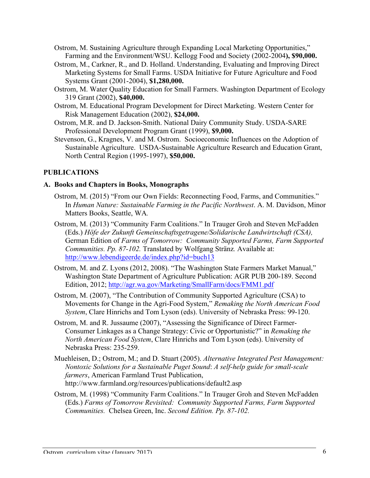- Ostrom, M. Sustaining Agriculture through Expanding Local Marketing Opportunities," Farming and the Environment/WSU. Kellogg Food and Society (2002-2004**), \$90,000.**
- Ostrom, M., Carkner, R., and D. Holland. Understanding, Evaluating and Improving Direct Marketing Systems for Small Farms. USDA Initiative for Future Agriculture and Food Systems Grant (2001-2004), **\$1,280,000.**
- Ostrom, M. Water Quality Education for Small Farmers. Washington Department of Ecology 319 Grant (2002), **\$40,000.**
- Ostrom, M. Educational Program Development for Direct Marketing. Western Center for Risk Management Education (2002), **\$24,000.**
- Ostrom, M.R. and D. Jackson-Smith. National Dairy Community Study. USDA-SARE Professional Development Program Grant (1999), **\$9,000.**
- Stevenson, G., Kragnes, V. and M. Ostrom. Socioeconomic Influences on the Adoption of Sustainable Agriculture. USDA-Sustainable Agriculture Research and Education Grant, North Central Region (1995-1997), **\$50,000.**

### **PUBLICATIONS**

#### **A. Books and Chapters in Books, Monographs**

- Ostrom, M. (2015) "From our Own Fields: Reconnecting Food, Farms, and Communities." In *Human Nature: Sustainable Farming in the Pacific Northwest*. A. M. Davidson, Minor Matters Books, Seattle, WA*.*
- Ostrom, M. (2013) "Community Farm Coalitions." In Trauger Groh and Steven McFadden (Eds.) *Höfe der Zukunft Gemeinschaftsgetragene/Solidarische Landwirtschaft (CSA),* German Edition of *Farms of Tomorrow: Community Supported Farms, Farm Supported Communities. Pp. 87-102.* Translated by Wolfgang Stränz*.* Available at: http://www.lebendigeerde.de/index.php?id=buch13
- Ostrom, M. and Z. Lyons (2012, 2008). "The Washington State Farmers Market Manual," Washington State Department of Agriculture Publication: AGR PUB 200-189. Second Edition, 2012; http://agr.wa.gov/Marketing/SmallFarm/docs/FMM1.pdf
- Ostrom, M. (2007), "The Contribution of Community Supported Agriculture (CSA) to Movements for Change in the Agri-Food System," *Remaking the North American Food System*, Clare Hinrichs and Tom Lyson (eds). University of Nebraska Press: 99-120.
- Ostrom, M. and R. Jussaume (2007), "Assessing the Significance of Direct Farmer-Consumer Linkages as a Change Strategy: Civic or Opportunistic?" in *Remaking the North American Food System*, Clare Hinrichs and Tom Lyson (eds). University of Nebraska Press: 235-259.
- Muehleisen, D.; Ostrom, M.; and D. Stuart (2005). *Alternative Integrated Pest Management: Nontoxic Solutions for a Sustainable Puget Sound*: *A self-help guide for small-scale farmers*, American Farmland Trust Publication, http://www.farmland.org/resources/publications/default2.asp
- Ostrom, M. (1998) "Community Farm Coalitions." In Trauger Groh and Steven McFadden (Eds.) *Farms of Tomorrow Revisited: Community Supported Farms, Farm Supported Communities.* Chelsea Green, Inc. *Second Edition. Pp. 87-102.*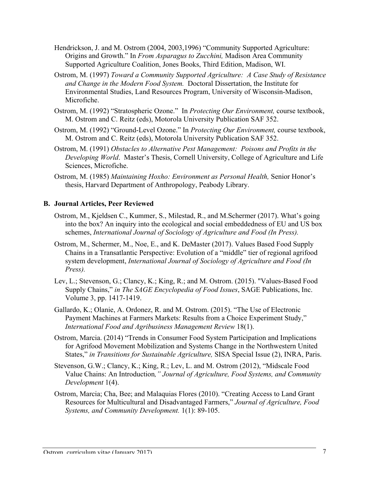- Hendrickson, J. and M. Ostrom (2004, 2003,1996) "Community Supported Agriculture: Origins and Growth." In *From Asparagus to Zucchini,* Madison Area Community Supported Agriculture Coalition, Jones Books, Third Edition, Madison, WI.
- Ostrom, M. (1997) *Toward a Community Supported Agriculture: A Case Study of Resistance and Change in the Modern Food System.* Doctoral Dissertation, the Institute for Environmental Studies, Land Resources Program, University of Wisconsin-Madison, Microfiche.
- Ostrom, M. (1992) "Stratospheric Ozone." In *Protecting Our Environment,* course textbook, M. Ostrom and C. Reitz (eds), Motorola University Publication SAF 352.
- Ostrom, M. (1992) "Ground-Level Ozone." In *Protecting Our Environment,* course textbook, M. Ostrom and C. Reitz (eds), Motorola University Publication SAF 352.
- Ostrom, M. (1991) *Obstacles to Alternative Pest Management: Poisons and Profits in the Developing World*. Master's Thesis, Cornell University, College of Agriculture and Life Sciences, Microfiche.
- Ostrom, M. (1985) *Maintaining Hoxho: Environment as Personal Health,* Senior Honor's thesis, Harvard Department of Anthropology, Peabody Library.

#### **B. Journal Articles, Peer Reviewed**

- Ostrom, M., Kjeldsen C., Kummer, S., Milestad, R., and M.Schermer (2017). What's going into the box? An inquiry into the ecological and social embeddedness of EU and US box schemes, *International Journal of Sociology of Agriculture and Food (In Press).*
- Ostrom, M., Schermer, M., Noe, E., and K. DeMaster (2017). Values Based Food Supply Chains in a Transatlantic Perspective: Evolution of a "middle" tier of regional agrifood system development, *International Journal of Sociology of Agriculture and Food (In Press).*
- Lev, L.; Stevenson, G.; Clancy, K.; King, R.; and M. Ostrom. (2015). "Values-Based Food Supply Chains," *in The SAGE Encyclopedia of Food Issues*, SAGE Publications, Inc. Volume 3, pp. 1417-1419.
- Gallardo, K.; Olanie, A. Ordonez, R. and M. Ostrom. (2015). "The Use of Electronic Payment Machines at Farmers Markets: Results from a Choice Experiment Study," *International Food and Agribusiness Management Review* 18(1).
- Ostrom, Marcia. (2014) "Trends in Consumer Food System Participation and Implications for Agrifood Movement Mobilization and Systems Change in the Northwestern United States," *in Transitions for Sustainable Agriculture,* SISA Special Issue (2), INRA, Paris.
- Stevenson, G.W.; Clancy, K.; King, R.; Lev, L. and M. Ostrom (2012), "Midscale Food Value Chains: An Introduction*," Journal of Agriculture, Food Systems, and Community Development* 1(4).
- Ostrom, Marcia; Cha, Bee; and Malaquias Flores (2010). "Creating Access to Land Grant Resources for Multicultural and Disadvantaged Farmers," *Journal of Agriculture, Food Systems, and Community Development.* 1(1): 89-105.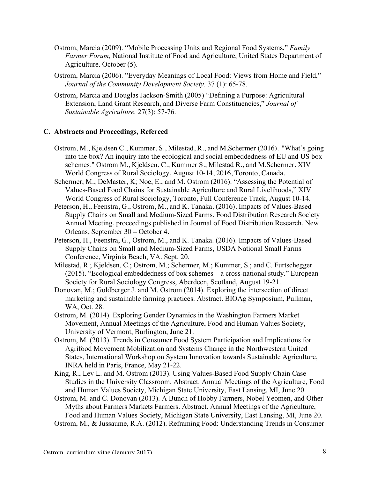- Ostrom, Marcia (2009). "Mobile Processing Units and Regional Food Systems," *Family Farmer Forum,* National Institute of Food and Agriculture, United States Department of Agriculture. October (5).
- Ostrom, Marcia (2006). "Everyday Meanings of Local Food: Views from Home and Field," *Journal of the Community Development Society.* 37 (1): 65-78.
- Ostrom, Marcia and Douglas Jackson-Smith (2005) "Defining a Purpose: Agricultural Extension, Land Grant Research, and Diverse Farm Constituencies," *Journal of Sustainable Agriculture.* 27(3): 57-76.

### **C. Abstracts and Proceedings, Refereed**

- Ostrom, M., Kjeldsen C., Kummer, S., Milestad, R., and M.Schermer (2016). "What's going into the box? An inquiry into the ecological and social embeddedness of EU and US box schemes." Ostrom M., Kjeldsen, C., Kummer S., Milestad R., and M.Schermer. XIV World Congress of Rural Sociology, August 10-14, 2016, Toronto, Canada.
- Schermer, M.; DeMaster, K; Noe, E.; and M. Ostrom (2016). "Assessing the Potential of Values-Based Food Chains for Sustainable Agriculture and Rural Livelihoods," XIV World Congress of Rural Sociology, Toronto, Full Conference Track, August 10-14.
- Peterson, H., Feenstra, G., Ostrom, M., and K. Tanaka. (2016). Impacts of Values-Based Supply Chains on Small and Medium-Sized Farms, Food Distribution Research Society Annual Meeting, proceedings published in Journal of Food Distribution Research, New Orleans, September 30 – October 4.
- Peterson, H., Feenstra, G., Ostrom, M., and K. Tanaka. (2016). Impacts of Values-Based Supply Chains on Small and Medium-Sized Farms, USDA National Small Farms Conference, Virginia Beach, VA. Sept. 20.
- Milestad, R.; Kjeldsen, C.; Ostrom, M.; Schermer, M.; Kummer, S.; and C. Furtschegger (2015). "Ecological embeddedness of box schemes – a cross-national study." European Society for Rural Sociology Congress, Aberdeen, Scotland, August 19-21.
- Donovan, M.; Goldberger J. and M. Ostrom (2014). Exploring the intersection of direct marketing and sustainable farming practices. Abstract. BIOAg Symposium, Pullman, WA, Oct. 28.
- Ostrom, M. (2014). Exploring Gender Dynamics in the Washington Farmers Market Movement, Annual Meetings of the Agriculture, Food and Human Values Society, University of Vermont, Burlington, June 21.
- Ostrom, M. (2013). Trends in Consumer Food System Participation and Implications for Agrifood Movement Mobilization and Systems Change in the Northwestern United States, International Workshop on System Innovation towards Sustainable Agriculture, INRA held in Paris, France, May 21-22.
- King, R., Lev L. and M. Ostrom (2013). Using Values-Based Food Supply Chain Case Studies in the University Classroom. Abstract. Annual Meetings of the Agriculture, Food and Human Values Society, Michigan State University, East Lansing, MI, June 20.
- Ostrom, M. and C. Donovan (2013). A Bunch of Hobby Farmers, Nobel Yeomen, and Other Myths about Farmers Markets Farmers. Abstract. Annual Meetings of the Agriculture, Food and Human Values Society, Michigan State University, East Lansing, MI, June 20. Ostrom, M., & Jussaume, R.A. (2012). Reframing Food: Understanding Trends in Consumer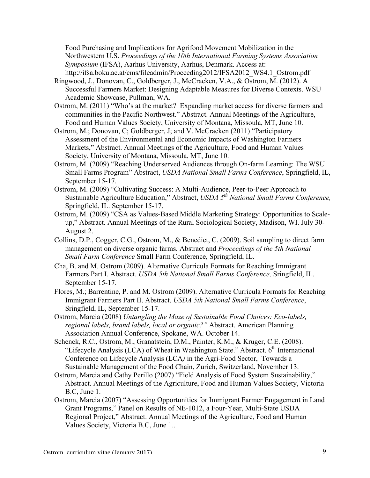Food Purchasing and Implications for Agrifood Movement Mobilization in the Northwestern U.S. *Proceedings of the 10th International Farming Systems Association Symposium* (IFSA), Aarhus University, Aarhus, Denmark. Access at: http://ifsa.boku.ac.at/cms/fileadmin/Proceeding2012/IFSA2012\_WS4.1\_Ostrom.pdf

- Ringwood, J., Donovan, C., Goldberger, J., McCracken, V.A., & Ostrom, M. (2012). A Successful Farmers Market: Designing Adaptable Measures for Diverse Contexts. WSU Academic Showcase, Pullman, WA.
- Ostrom, M. (2011) "Who's at the market? Expanding market access for diverse farmers and communities in the Pacific Northwest." Abstract. Annual Meetings of the Agriculture, Food and Human Values Society, University of Montana, Missoula, MT, June 10.
- Ostrom, M.; Donovan, C; Goldberger, J; and V. McCracken (2011) "Participatory Assessment of the Environmental and Economic Impacts of Washington Farmers Markets," Abstract. Annual Meetings of the Agriculture, Food and Human Values Society, University of Montana, Missoula, MT, June 10.
- Ostrom, M. (2009) "Reaching Underserved Audiences through On-farm Learning: The WSU Small Farms Program" Abstract, *USDA National Small Farms Conference*, Springfield, IL, September 15-17.
- Ostrom, M. (2009) "Cultivating Success: A Multi-Audience, Peer-to-Peer Approach to Sustainable Agriculture Education," Abstract, *USDA 5th National Small Farms Conference,*  Springfield, IL. September 15-17.
- Ostrom, M. (2009) "CSA as Values-Based Middle Marketing Strategy: Opportunities to Scaleup," Abstract. Annual Meetings of the Rural Sociological Society, Madison, WI. July 30- August 2.
- Collins, D.P., Cogger, C.G., Ostrom, M., & Benedict, C. (2009). Soil sampling to direct farm management on diverse organic farms. Abstract and *Proceedings of the 5th National Small Farm Conference* Small Farm Conference, Springfield, IL.
- Cha, B. and M. Ostrom (2009). Alternative Curricula Formats for Reaching Immigrant Farmers Part I. Abstract. *USDA 5th National Small Farms Conference,* Sringfield, IL. September 15-17.
- Flores, M.; Barrentine, P. and M. Ostrom (2009). Alternative Curricula Formats for Reaching Immigrant Farmers Part II. Abstract. *USDA 5th National Small Farms Conference*, Sringfield, IL, September 15-17.
- Ostrom, Marcia (2008) *Untangling the Maze of Sustainable Food Choices: Eco-labels, regional labels, brand labels, local or organic?"* Abstract. American Planning Association Annual Conference, Spokane, WA. October 14.
- Schenck, R.C., Ostrom, M., Granatstein, D.M., Painter, K.M., & Kruger, C.E. (2008). "Lifecycle Analysis (LCA) of Wheat in Washington State." Abstract.  $6<sup>th</sup>$  International Conference on Lifecycle Analysis (LCA*)* in the Agri-Food Sector,Towards a Sustainable Management of the Food Chain, Zurich, Switzerland, November 13.
- Ostrom, Marcia and Cathy Perillo (2007) "Field Analysis of Food System Sustainability," Abstract. Annual Meetings of the Agriculture, Food and Human Values Society, Victoria B.C, June 1.
- Ostrom, Marcia (2007) "Assessing Opportunities for Immigrant Farmer Engagement in Land Grant Programs," Panel on Results of NE-1012, a Four-Year, Multi-State USDA Regional Project," Abstract. Annual Meetings of the Agriculture, Food and Human Values Society, Victoria B.C, June 1..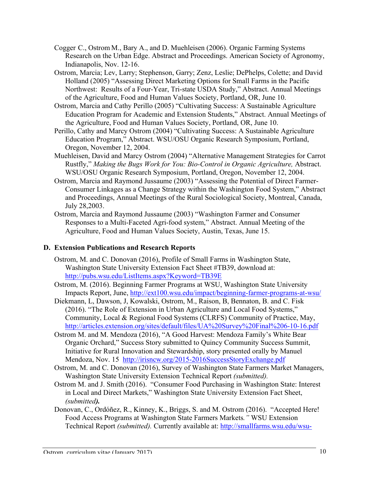- Cogger C., Ostrom M., Bary A., and D. Muehleisen (2006). Organic Farming Systems Research on the Urban Edge. Abstract and Proceedings. American Society of Agronomy, Indianapolis, Nov. 12-16.
- Ostrom, Marcia; Lev, Larry; Stephenson, Garry; Zenz, Leslie; DePhelps, Colette; and David Holland (2005) "Assessing Direct Marketing Options for Small Farms in the Pacific Northwest: Results of a Four-Year, Tri-state USDA Study," Abstract. Annual Meetings of the Agriculture, Food and Human Values Society, Portland, OR, June 10.
- Ostrom, Marcia and Cathy Perillo (2005) "Cultivating Success: A Sustainable Agriculture Education Program for Academic and Extension Students," Abstract. Annual Meetings of the Agriculture, Food and Human Values Society, Portland, OR, June 10.
- Perillo, Cathy and Marcy Ostrom (2004) "Cultivating Success: A Sustainable Agriculture Education Program," Abstract. WSU/OSU Organic Research Symposium, Portland, Oregon, November 12, 2004.
- Muehleisen, David and Marcy Ostrom (2004) "Alternative Management Strategies for Carrot Rustfly," *Making the Bugs Work for You: Bio-Control in Organic Agriculture,* Abstract. WSU/OSU Organic Research Symposium, Portland, Oregon, November 12, 2004.
- Ostrom, Marcia and Raymond Jussaume (2003) "Assessing the Potential of Direct Farmer-Consumer Linkages as a Change Strategy within the Washington Food System," Abstract and Proceedings, Annual Meetings of the Rural Sociological Society, Montreal, Canada, July 28,2003.
- Ostrom, Marcia and Raymond Jussaume (2003) "Washington Farmer and Consumer Responses to a Multi-Faceted Agri-food system," Abstract. Annual Meeting of the Agriculture, Food and Human Values Society, Austin, Texas, June 15.

#### **D. Extension Publications and Research Reports**

- Ostrom, M. and C. Donovan (2016), Profile of Small Farms in Washington State, Washington State University Extension Fact Sheet #TB39, download at: http://pubs.wsu.edu/ListItems.aspx?Keyword=TB39E
- Ostrom, M. (2016). Beginning Farmer Programs at WSU, Washington State University Impacts Report, June, http://ext100.wsu.edu/impact/beginning-farmer-programs-at-wsu/
- Diekmann, L, Dawson, J, Kowalski, Ostrom, M., Raison, B, Bennaton, B. and C. Fisk (2016). "The Role of Extension in Urban Agriculture and Local Food Systems," Community, Local & Regional Food Systems (CLRFS) Community of Practice, May, http://articles.extension.org/sites/default/files/UA%20Survey%20Final%206-10-16.pdf
- Ostrom M. and M. Mendoza (2016), "A Good Harvest: Mendoza Family's White Bear Organic Orchard," Success Story submitted to Quincy Community Success Summit, Initiative for Rural Innovation and Stewardship, story presented orally by Manuel Mendoza, Nov. 15 http://irisncw.org/2015-2016SuccessStoryExchange.pdf
- Ostrom, M. and C. Donovan (2016), Survey of Washington State Farmers Market Managers, Washington State University Extension Technical Report *(submitted).*
- Ostrom M. and J. Smith (2016). "Consumer Food Purchasing in Washington State: Interest in Local and Direct Markets," Washington State University Extension Fact Sheet, *(submitted).*
- Donovan, C., Ordóñez, R., Kinney, K., Briggs, S. and M. Ostrom (2016). "Accepted Here! Food Access Programs at Washington State Farmers Markets*."* WSU Extension Technical Report *(submitted).* Currently available at: http://smallfarms.wsu.edu/wsu-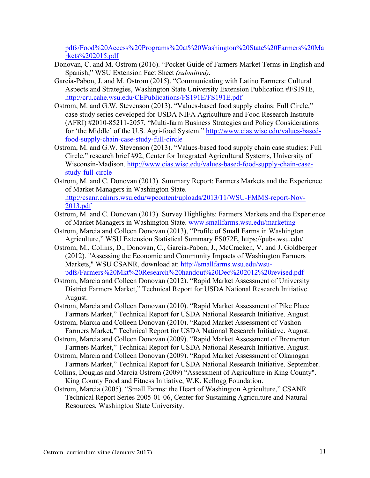pdfs/Food%20Access%20Programs%20at%20Washington%20State%20Farmers%20Ma rkets%202015.pdf

- Donovan, C. and M. Ostrom (2016). "Pocket Guide of Farmers Market Terms in English and Spanish," WSU Extension Fact Sheet *(submitted).*
- Garcia-Pabon, J. and M. Ostrom (2015). "Communicating with Latino Farmers: Cultural Aspects and Strategies, Washington State University Extension Publication #FS191E, http://cru.cahe.wsu.edu/CEPublications/FS191E/FS191E.pdf
- Ostrom, M. and G.W. Stevenson (2013). "Values-based food supply chains: Full Circle," case study series developed for USDA NIFA Agriculture and Food Research Institute (AFRI) #2010-85211-2057, "Multi-farm Business Strategies and Policy Considerations for 'the Middle' of the U.S. Agri-food System." http://www.cias.wisc.edu/values-basedfood-supply-chain-case-study-full-circle
- Ostrom, M. and G.W. Stevenson (2013). "Values-based food supply chain case studies: Full Circle," research brief #92, Center for Integrated Agricultural Systems, University of Wisconsin-Madison. http://www.cias.wisc.edu/values-based-food-supply-chain-casestudy-full-circle
- Ostrom, M. and C. Donovan (2013). Summary Report: Farmers Markets and the Experience of Market Managers in Washington State. http://csanr.cahnrs.wsu.edu/wpcontent/uploads/2013/11/WSU-FMMS-report-Nov-2013.pdf
- Ostrom, M. and C. Donovan (2013). Survey Highlights: Farmers Markets and the Experience of Market Managers in Washington State. www.smallfarms.wsu.edu/marketing
- Ostrom, Marcia and Colleen Donovan (2013), "Profile of Small Farms in Washington Agriculture," WSU Extension Statistical Summary FS072E, https://pubs.wsu.edu/
- Ostrom, M., Collins, D., Donovan, C., Garcia-Pabon, J., McCracken, V. and J. Goldberger (2012). "Assessing the Economic and Community Impacts of Washington Farmers Markets," WSU CSANR, download at: http://smallfarms.wsu.edu/wsupdfs/Farmers%20Mkt%20Research%20handout%20Dec%202012%20revised.pdf
- Ostrom, Marcia and Colleen Donovan (2012). "Rapid Market Assessment of University District Farmers Market," Technical Report for USDA National Research Initiative. August.
- Ostrom, Marcia and Colleen Donovan (2010). "Rapid Market Assessment of Pike Place Farmers Market," Technical Report for USDA National Research Initiative. August.
- Ostrom, Marcia and Colleen Donovan (2010). "Rapid Market Assessment of Vashon Farmers Market," Technical Report for USDA National Research Initiative. August.
- Ostrom, Marcia and Colleen Donovan (2009). "Rapid Market Assessment of Bremerton Farmers Market," Technical Report for USDA National Research Initiative. August.
- Ostrom, Marcia and Colleen Donovan (2009). "Rapid Market Assessment of Okanogan Farmers Market," Technical Report for USDA National Research Initiative. September.
- Collins, Douglas and Marcia Ostrom (2009) "Assessment of Agriculture in King County". King County Food and Fitness Initiative, W.K. Kellogg Foundation.
- Ostrom, Marcia (2005). "Small Farms: the Heart of Washington Agriculture," CSANR Technical Report Series 2005-01-06, Center for Sustaining Agriculture and Natural Resources, Washington State University.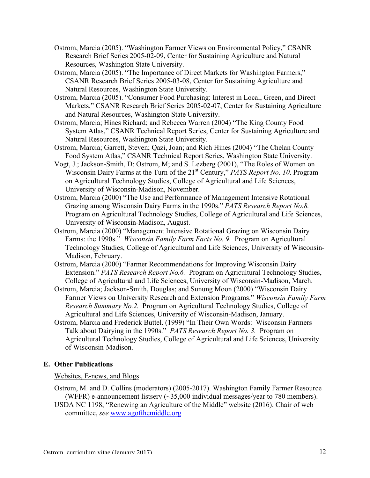- Ostrom, Marcia (2005). "Washington Farmer Views on Environmental Policy," CSANR Research Brief Series 2005-02-09, Center for Sustaining Agriculture and Natural Resources, Washington State University.
- Ostrom, Marcia (2005). "The Importance of Direct Markets for Washington Farmers," CSANR Research Brief Series 2005-03-08, Center for Sustaining Agriculture and Natural Resources, Washington State University.
- Ostrom, Marcia (2005). "Consumer Food Purchasing: Interest in Local, Green, and Direct Markets," CSANR Research Brief Series 2005-02-07, Center for Sustaining Agriculture and Natural Resources, Washington State University.
- Ostrom, Marcia; Hines Richard; and Rebecca Warren (2004) "The King County Food System Atlas," CSANR Technical Report Series, Center for Sustaining Agriculture and Natural Resources, Washington State University.
- Ostrom, Marcia; Garrett, Steven; Qazi, Joan; and Rich Hines (2004) "The Chelan County Food System Atlas," CSANR Technical Report Series, Washington State University.
- Vogt, J.; Jackson-Smith, D; Ostrom, M; and S. Lezberg (2001), "The Roles of Women on Wisconsin Dairy Farms at the Turn of the 21<sup>st</sup> Century," *PATS Report No. 10*. Program on Agricultural Technology Studies, College of Agricultural and Life Sciences, University of Wisconsin-Madison, November.
- Ostrom, Marcia (2000) "The Use and Performance of Management Intensive Rotational Grazing among Wisconsin Dairy Farms in the 1990s." *PATS Research Report No.8.*  Program on Agricultural Technology Studies, College of Agricultural and Life Sciences, University of Wisconsin-Madison, August.
- Ostrom, Marcia (2000) "Management Intensive Rotational Grazing on Wisconsin Dairy Farms: the 1990s." *Wisconsin Family Farm Facts No. 9.* Program on Agricultural Technology Studies, College of Agricultural and Life Sciences, University of Wisconsin-Madison, February.
- Ostrom, Marcia (2000) "Farmer Recommendations for Improving Wisconsin Dairy Extension." *PATS Research Report No.6.* Program on Agricultural Technology Studies, College of Agricultural and Life Sciences, University of Wisconsin-Madison, March.
- Ostrom, Marcia; Jackson-Smith, Douglas; and Sunung Moon (2000) "Wisconsin Dairy Farmer Views on University Research and Extension Programs." *Wisconsin Family Farm Research Summary No.2.* Program on Agricultural Technology Studies, College of Agricultural and Life Sciences, University of Wisconsin-Madison, January.
- Ostrom, Marcia and Frederick Buttel. (1999) "In Their Own Words: Wisconsin Farmers Talk about Dairying in the 1990s." *PATS Research Report No. 3.* Program on Agricultural Technology Studies, College of Agricultural and Life Sciences, University of Wisconsin-Madison.

## **E. Other Publications**

## Websites, E-news, and Blogs

- Ostrom, M. and D. Collins (moderators) (2005-2017). Washington Family Farmer Resource (WFFR) e-announcement listserv (~35,000 individual messages/year to 780 members).
- USDA NC 1198, "Renewing an Agriculture of the Middle" website (2016). Chair of web committee, *see* www.agofthemiddle.org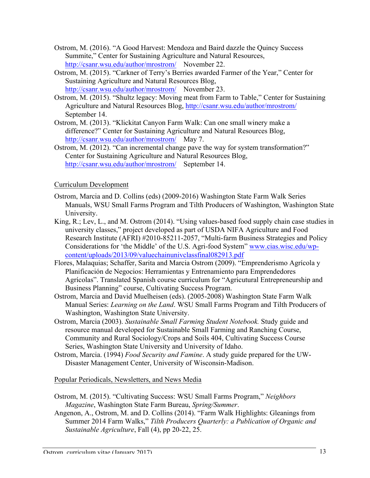- Ostrom, M. (2016). "A Good Harvest: Mendoza and Baird dazzle the Quincy Success Summite," Center for Sustaining Agriculture and Natural Resources, http://csanr.wsu.edu/author/mrostrom/ November 22.
- Ostrom, M. (2015). "Carkner of Terry's Berries awarded Farmer of the Year," Center for Sustaining Agriculture and Natural Resources Blog, http://csanr.wsu.edu/author/mrostrom/ November 23.
- Ostrom, M. (2015). "Shultz legacy: Moving meat from Farm to Table," Center for Sustaining Agriculture and Natural Resources Blog, http://csanr.wsu.edu/author/mrostrom/ September 14.
- Ostrom, M. (2013). "Klickitat Canyon Farm Walk: Can one small winery make a difference?" Center for Sustaining Agriculture and Natural Resources Blog, http://csanr.wsu.edu/author/mrostrom/ May 7.
- Ostrom, M. (2012). "Can incremental change pave the way for system transformation?" Center for Sustaining Agriculture and Natural Resources Blog, http://csanr.wsu.edu/author/mrostrom/ September 14.

## Curriculum Development

- Ostrom, Marcia and D. Collins (eds) (2009-2016) Washington State Farm Walk Series Manuals, WSU Small Farms Program and Tilth Producers of Washington, Washington State University.
- King, R.; Lev, L., and M. Ostrom (2014). "Using values-based food supply chain case studies in university classes," project developed as part of USDA NIFA Agriculture and Food Research Institute (AFRI) #2010-85211-2057, "Multi-farm Business Strategies and Policy Considerations for 'the Middle' of the U.S. Agri-food System" www.cias.wisc.edu/wpcontent/uploads/2013/09/valuechainunivclassfinal082913.pdf
- Flores, Malaquias; Schaffer, Sarita and Marcia Ostrom (2009). "Emprenderismo Agrícola y Planificación de Negocios: Herramientas y Entrenamiento para Emprendedores Agrícolas". Translated Spanish course curriculum for "Agricutural Entrepreneurship and Business Planning" course, Cultivating Success Program.
- Ostrom, Marcia and David Muelheisen (eds). (2005-2008) Washington State Farm Walk Manual Series: *Learning on the Land*. WSU Small Farms Program and Tilth Producers of Washington, Washington State University.
- Ostrom, Marcia (2003). *Sustainable Small Farming Student Notebook.* Study guide and resource manual developed for Sustainable Small Farming and Ranching Course, Community and Rural Sociology/Crops and Soils 404, Cultivating Success Course Series, Washington State University and University of Idaho.
- Ostrom, Marcia. (1994) *Food Security and Famine*. A study guide prepared for the UW-Disaster Management Center, University of Wisconsin-Madison.

Popular Periodicals, Newsletters, and News Media

- Ostrom, M. (2015). "Cultivating Success: WSU Small Farms Program," *Neighbors Magazine*, Washington State Farm Bureau, *Spring/Summer*.
- Angenon, A., Ostrom, M. and D. Collins (2014). "Farm Walk Highlights: Gleanings from Summer 2014 Farm Walks," *Tilth Producers Quarterly: a Publication of Organic and Sustainable Agriculture*, Fall (4), pp 20-22, 25.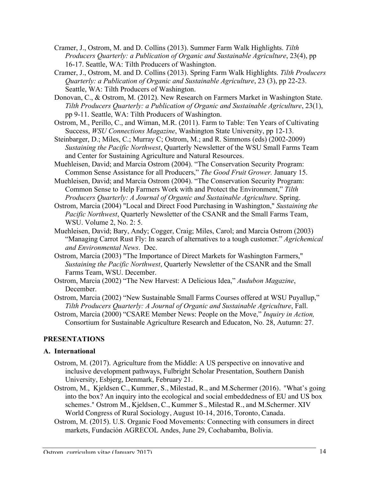- Cramer, J., Ostrom, M. and D. Collins (2013). Summer Farm Walk Highlights. *Tilth Producers Quarterly: a Publication of Organic and Sustainable Agriculture*, 23(4), pp 16-17. Seattle, WA: Tilth Producers of Washington.
- Cramer, J., Ostrom, M. and D. Collins (2013). Spring Farm Walk Highlights. *Tilth Producers Quarterly: a Publication of Organic and Sustainable Agriculture*, 23 (3), pp 22-23. Seattle, WA: Tilth Producers of Washington.
- Donovan, C., & Ostrom, M. (2012). New Research on Farmers Market in Washington State. *Tilth Producers Quarterly: a Publication of Organic and Sustainable Agriculture*, 23(1), pp 9-11. Seattle, WA: Tilth Producers of Washington.
- Ostrom, M., Perillo, C., and Wiman, M.R. (2011). Farm to Table: Ten Years of Cultivating Success, *WSU Connections Magazine*, Washington State University, pp 12-13.
- Steinbarger, D.; Miles, C.; Murray C; Ostrom, M.; and R. Simmons (eds) (2002-2009) *Sustaining the Pacific Northwest*, Quarterly Newsletter of the WSU Small Farms Team and Center for Sustaining Agriculture and Natural Resources.
- Muehleisen, David; and Marcia Ostrom (2004). "The Conservation Security Program: Common Sense Assistance for all Producers," *The Good Fruit Grower.* January 15.
- Muehleisen, David; and Marcia Ostrom (2004). "The Conservation Security Program: Common Sense to Help Farmers Work with and Protect the Environment," *Tilth Producers Quarterly: A Journal of Organic and Sustainable Agriculture*. Spring.
- Ostrom, Marcia (2004) "Local and Direct Food Purchasing in Washington," *Sustaining the Pacific Northwest*, Quarterly Newsletter of the CSANR and the Small Farms Team, WSU. Volume 2, No. 2: 5.
- Muehleisen, David; Bary, Andy; Cogger, Craig; Miles, Carol; and Marcia Ostrom (2003) "Managing Carrot Rust Fly: In search of alternatives to a tough customer." *Agrichemical and Environmental News*. Dec.
- Ostrom, Marcia (2003) "The Importance of Direct Markets for Washington Farmers," *Sustaining the Pacific Northwest*, Quarterly Newsletter of the CSANR and the Small Farms Team, WSU. December.
- Ostrom, Marcia (2002) "The New Harvest: A Delicious Idea," *Audubon Magazine*, December.
- Ostrom, Marcia (2002) "New Sustainable Small Farms Courses offered at WSU Puyallup," *Tilth Producers Quarterly: A Journal of Organic and Sustainable Agriculture*, Fall.
- Ostrom, Marcia (2000) "CSARE Member News: People on the Move," *Inquiry in Action,* Consortium for Sustainable Agriculture Research and Educaton, No. 28, Autumn: 27.

## **PRESENTATIONS**

## **A. International**

- Ostrom, M. (2017). Agriculture from the Middle: A US perspective on innovative and inclusive development pathways, Fulbright Scholar Presentation, Southern Danish University, Esbjerg, Denmark, February 21.
- Ostrom, M., Kjeldsen C., Kummer, S., Milestad, R., and M.Schermer (2016). "What's going into the box? An inquiry into the ecological and social embeddedness of EU and US box schemes." Ostrom M., Kjeldsen, C., Kummer S., Milestad R., and M.Schermer. XIV World Congress of Rural Sociology, August 10-14, 2016, Toronto, Canada.
- Ostrom, M. (2015). U.S. Organic Food Movements: Connecting with consumers in direct markets, Fundación AGRECOL Andes, June 29, Cochabamba, Bolivia.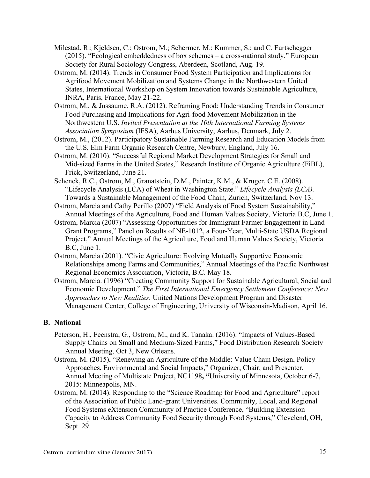- Milestad, R.; Kjeldsen, C.; Ostrom, M.; Schermer, M.; Kummer, S.; and C. Furtschegger (2015). "Ecological embeddedness of box schemes – a cross-national study." European Society for Rural Sociology Congress, Aberdeen, Scotland, Aug. 19.
- Ostrom, M. (2014). Trends in Consumer Food System Participation and Implications for Agrifood Movement Mobilization and Systems Change in the Northwestern United States, International Workshop on System Innovation towards Sustainable Agriculture, INRA, Paris, France, May 21-22.
- Ostrom, M., & Jussaume, R.A. (2012). Reframing Food: Understanding Trends in Consumer Food Purchasing and Implications for Agri-food Movement Mobilization in the Northwestern U.S. *Invited Presentation at the 10th International Farming Systems Association Symposium* (IFSA), Aarhus University, Aarhus, Denmark, July 2.
- Ostrom, M., (2012). Participatory Sustainable Farming Research and Education Models from the U.S, Elm Farm Organic Research Centre, Newbury, England, July 16.
- Ostrom, M. (2010). "Successful Regional Market Development Strategies for Small and Mid-sized Farms in the United States," Research Institute of Organic Agriculture (FiBL), Frick, Switzerland, June 21.
- Schenck, R.C., Ostrom, M., Granatstein, D.M., Painter, K.M., & Kruger, C.E. (2008). "Lifecycle Analysis (LCA) of Wheat in Washington State." *Lifecycle Analysis (LCA).*  Towards a Sustainable Management of the Food Chain, Zurich, Switzerland, Nov 13.
- Ostrom, Marcia and Cathy Perillo (2007) "Field Analysis of Food System Sustainability," Annual Meetings of the Agriculture, Food and Human Values Society, Victoria B.C, June 1.
- Ostrom, Marcia (2007) "Assessing Opportunities for Immigrant Farmer Engagement in Land Grant Programs," Panel on Results of NE-1012, a Four-Year, Multi-State USDA Regional Project," Annual Meetings of the Agriculture, Food and Human Values Society, Victoria B.C, June 1.
- Ostrom, Marcia (2001). "Civic Agriculture: Evolving Mutually Supportive Economic Relationships among Farms and Communities," Annual Meetings of the Pacific Northwest Regional Economics Association, Victoria, B.C. May 18.
- Ostrom, Marcia. (1996) "Creating Community Support for Sustainable Agricultural, Social and Economic Development." *The First International Emergency Settlement Conference: New Approaches to New Realities.* United Nations Development Program and Disaster Management Center, College of Engineering, University of Wisconsin-Madison, April 16.

## **B. National**

- Peterson, H., Feenstra, G., Ostrom, M., and K. Tanaka. (2016). "Impacts of Values-Based Supply Chains on Small and Medium-Sized Farms," Food Distribution Research Society Annual Meeting, Oct 3, New Orleans.
- Ostrom, M. (2015), "Renewing an Agriculture of the Middle: Value Chain Design, Policy Approaches, Environmental and Social Impacts," Organizer, Chair, and Presenter, Annual Meeting of Multistate Project, NC1198**, "**University of Minnesota, October 6-7, 2015: Minneapolis, MN.
- Ostrom, M. (2014). Responding to the "Science Roadmap for Food and Agriculture" report of the Association of Public Land-grant Universities. Community, Local, and Regional Food Systems eXtension Community of Practice Conference, "Building Extension Capacity to Address Community Food Security through Food Systems," Clevelend, OH, Sept. 29.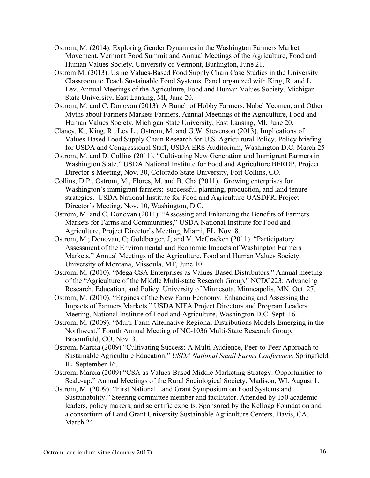- Ostrom, M. (2014). Exploring Gender Dynamics in the Washington Farmers Market Movement. Vermont Food Summit and Annual Meetings of the Agriculture, Food and Human Values Society, University of Vermont, Burlington, June 21.
- Ostrom M. (2013). Using Values-Based Food Supply Chain Case Studies in the University Classroom to Teach Sustainable Food Systems. Panel organized with King, R. and L. Lev. Annual Meetings of the Agriculture, Food and Human Values Society, Michigan State University, East Lansing, MI, June 20.
- Ostrom, M. and C. Donovan (2013). A Bunch of Hobby Farmers, Nobel Yeomen, and Other Myths about Farmers Markets Farmers. Annual Meetings of the Agriculture, Food and Human Values Society, Michigan State University, East Lansing, MI, June 20.
- Clancy, K., King, R., Lev L., Ostrom, M. and G.W. Stevenson (2013). Implications of Values-Based Food Supply Chain Research for U.S. Agricultural Policy. Policy briefing for USDA and Congressional Staff, USDA ERS Auditorium, Washington D.C. March 25
- Ostrom, M. and D. Collins (2011). "Cultivating New Generation and Immigrant Farmers in Washington State," USDA National Institute for Food and Agriculture BFRDP, Project Director's Meeting, Nov. 30, Colorado State University, Fort Collins, CO.
- Collins, D.P., Ostrom, M., Flores, M. and B. Cha (2011). Growing enterprises for Washington's immigrant farmers: successful planning, production, and land tenure strategies. USDA National Institute for Food and Agriculture OASDFR, Project Director's Meeting, Nov. 10, Washington, D.C.
- Ostrom, M. and C. Donovan (2011). "Assessing and Enhancing the Benefits of Farmers Markets for Farms and Communities," USDA National Institute for Food and Agriculture, Project Director's Meeting, Miami, FL. Nov. 8.
- Ostrom, M.; Donovan, C; Goldberger, J; and V. McCracken (2011). "Participatory Assessment of the Environmental and Economic Impacts of Washington Farmers Markets," Annual Meetings of the Agriculture, Food and Human Values Society, University of Montana, Missoula, MT, June 10.
- Ostrom, M. (2010). "Mega CSA Enterprises as Values-Based Distributors," Annual meeting of the "Agriculture of the Middle Multi-state Research Group," NCDC223: Advancing Research, Education, and Policy. University of Minnesota, Minneapolis, MN. Oct. 27.
- Ostrom, M. (2010). "Engines of the New Farm Economy: Enhancing and Assessing the Impacts of Farmers Markets." USDA NIFA Project Directors and Program Leaders Meeting, National Institute of Food and Agriculture, Washington D.C. Sept. 16.
- Ostrom, M. (2009). "Multi-Farm Alternative Regional Distributions Models Emerging in the Northwest." Fourth Annual Meeting of NC-1036 Multi-State Research Group, Broomfield, CO, Nov. 3.
- Ostrom, Marcia (2009) "Cultivating Success: A Multi-Audience, Peer-to-Peer Approach to Sustainable Agriculture Education," *USDA National Small Farms Conference,* Springfield, IL. September 16.
- Ostrom, Marcia (2009) "CSA as Values-Based Middle Marketing Strategy: Opportunities to Scale-up," Annual Meetings of the Rural Sociological Society, Madison, WI. August 1.
- Ostrom, M. (2009). "First National Land Grant Symposium on Food Systems and Sustainability." Steering committee member and facilitator. Attended by 150 academic leaders, policy makers, and scientific experts. Sponsored by the Kellogg Foundation and a consortium of Land Grant University Sustainable Agriculture Centers, Davis, CA, March 24.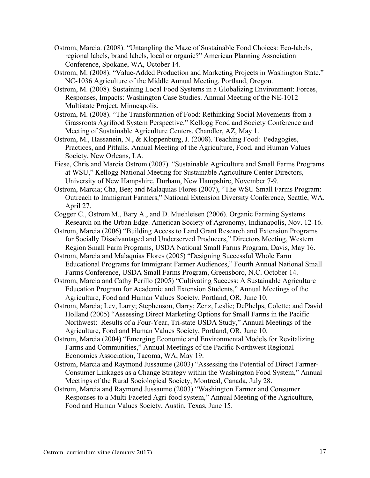- Ostrom, Marcia. (2008). "Untangling the Maze of Sustainable Food Choices: Eco-labels, regional labels, brand labels, local or organic?" American Planning Association Conference, Spokane, WA, October 14.
- Ostrom, M. (2008). "Value-Added Production and Marketing Projects in Washington State." NC-1036 Agriculture of the Middle Annual Meeting, Portland, Oregon.
- Ostrom, M. (2008). Sustaining Local Food Systems in a Globalizing Environment: Forces, Responses, Impacts: Washington Case Studies. Annual Meeting of the NE-1012 Multistate Project, Minneapolis.
- Ostrom, M. (2008). "The Transformation of Food: Rethinking Social Movements from a Grassroots Agrifood System Perspective." Kellogg Food and Society Conference and Meeting of Sustainable Agriculture Centers, Chandler, AZ, May 1.
- Ostrom, M., Hassanein, N., & Kloppenburg, J. (2008). Teaching Food: Pedagogies, Practices, and Pitfalls. Annual Meeting of the Agriculture, Food, and Human Values Society, New Orleans, LA.
- Fiese, Chris and Marcia Ostrom (2007). "Sustainable Agriculture and Small Farms Programs at WSU," Kellogg National Meeting for Sustainable Agriculture Center Directors, University of New Hampshire, Durham, New Hampshire, November 7-9.
- Ostrom, Marcia; Cha, Bee; and Malaquias Flores (2007), "The WSU Small Farms Program: Outreach to Immigrant Farmers," National Extension Diversity Conference, Seattle, WA. April 27.
- Cogger C., Ostrom M., Bary A., and D. Muehleisen (2006). Organic Farming Systems Research on the Urban Edge. American Society of Agronomy, Indianapolis, Nov. 12-16.
- Ostrom, Marcia (2006) "Building Access to Land Grant Research and Extension Programs for Socially Disadvantaged and Underserved Producers," Directors Meeting, Western Region Small Farm Programs, USDA National Small Farms Program, Davis, May 16.
- Ostrom, Marcia and Malaquias Flores (2005) "Designing Successful Whole Farm Educational Programs for Immigrant Farmer Audiences," Fourth Annual National Small Farms Conference, USDA Small Farms Program, Greensboro, N.C. October 14.
- Ostrom, Marcia and Cathy Perillo (2005) "Cultivating Success: A Sustainable Agriculture Education Program for Academic and Extension Students," Annual Meetings of the Agriculture, Food and Human Values Society, Portland, OR, June 10.
- Ostrom, Marcia; Lev, Larry; Stephenson, Garry; Zenz, Leslie; DePhelps, Colette; and David Holland (2005) "Assessing Direct Marketing Options for Small Farms in the Pacific Northwest: Results of a Four-Year, Tri-state USDA Study," Annual Meetings of the Agriculture, Food and Human Values Society, Portland, OR, June 10.
- Ostrom, Marcia (2004) "Emerging Economic and Environmental Models for Revitalizing Farms and Communities," Annual Meetings of the Pacific Northwest Regional Economics Association, Tacoma, WA, May 19.
- Ostrom, Marcia and Raymond Jussaume (2003) "Assessing the Potential of Direct Farmer-Consumer Linkages as a Change Strategy within the Washington Food System," Annual Meetings of the Rural Sociological Society, Montreal, Canada, July 28.
- Ostrom, Marcia and Raymond Jussaume (2003) "Washington Farmer and Consumer Responses to a Multi-Faceted Agri-food system," Annual Meeting of the Agriculture, Food and Human Values Society, Austin, Texas, June 15.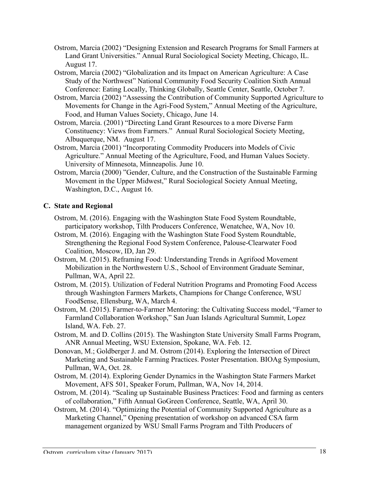- Ostrom, Marcia (2002) "Designing Extension and Research Programs for Small Farmers at Land Grant Universities." Annual Rural Sociological Society Meeting, Chicago, IL. August 17.
- Ostrom, Marcia (2002) "Globalization and its Impact on American Agriculture: A Case Study of the Northwest" National Community Food Security Coalition Sixth Annual Conference: Eating Locally, Thinking Globally, Seattle Center, Seattle, October 7.
- Ostrom, Marcia (2002) "Assessing the Contribution of Community Supported Agriculture to Movements for Change in the Agri-Food System," Annual Meeting of the Agriculture, Food, and Human Values Society, Chicago, June 14.
- Ostrom, Marcia. (2001) "Directing Land Grant Resources to a more Diverse Farm Constituency: Views from Farmers." Annual Rural Sociological Society Meeting, Albuquerque, NM. August 17.
- Ostrom, Marcia (2001) "Incorporating Commodity Producers into Models of Civic Agriculture." Annual Meeting of the Agriculture, Food, and Human Values Society. University of Minnesota, Minneapolis. June 10.
- Ostrom, Marcia (2000) "Gender, Culture, and the Construction of the Sustainable Farming Movement in the Upper Midwest," Rural Sociological Society Annual Meeting, Washington, D.C., August 16.

## **C. State and Regional**

- Ostrom, M. (2016). Engaging with the Washington State Food System Roundtable, participatory workshop, Tilth Producers Conference, Wenatchee, WA, Nov 10.
- Ostrom, M. (2016). Engaging with the Washington State Food System Roundtable, Strengthening the Regional Food System Conference, Palouse-Clearwater Food Coalition, Moscow, ID, Jan 29.
- Ostrom, M. (2015). Reframing Food: Understanding Trends in Agrifood Movement Mobilization in the Northwestern U.S., School of Environment Graduate Seminar, Pullman, WA, April 22.
- Ostrom, M. (2015). Utilization of Federal Nutrition Programs and Promoting Food Access through Washington Farmers Markets, Champions for Change Conference, WSU Food\$ense, Ellensburg, WA, March 4.
- Ostrom, M. (2015). Farmer-to-Farmer Mentoring: the Cultivating Success model, "Famer to Farmland Collaboration Workshop," San Juan Islands Agricultural Summit, Lopez Island, WA. Feb. 27.
- Ostrom, M. and D. Collins (2015). The Washington State University Small Farms Program, ANR Annual Meeting, WSU Extension, Spokane, WA. Feb. 12.
- Donovan, M.; Goldberger J. and M. Ostrom (2014). Exploring the Intersection of Direct Marketing and Sustainable Farming Practices. Poster Presentation. BIOAg Symposium, Pullman, WA, Oct. 28.
- Ostrom, M. (2014). Exploring Gender Dynamics in the Washington State Farmers Market Movement, AFS 501, Speaker Forum, Pullman, WA, Nov 14, 2014.
- Ostrom, M. (2014). "Scaling up Sustainable Business Practices: Food and farming as centers of collaboration," Fifth Annual GoGreen Conference, Seattle, WA, April 30.
- Ostrom, M. (2014). "Optimizing the Potential of Community Supported Agriculture as a Marketing Channel," Opening presentation of workshop on advanced CSA farm management organized by WSU Small Farms Program and Tilth Producers of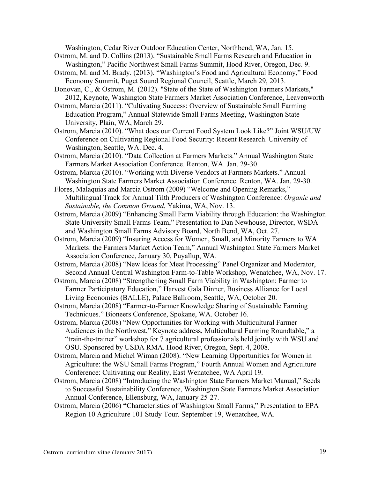Washington, Cedar River Outdoor Education Center, Northbend, WA, Jan. 15.

- Ostrom, M. and D. Collins (2013). "Sustainable Small Farms Research and Education in Washington," Pacific Northwest Small Farms Summit, Hood River, Oregon, Dec. 9.
- Ostrom, M. and M. Brady. (2013). "Washington's Food and Agricultural Economy," Food Economy Summit, Puget Sound Regional Council, Seattle, March 29, 2013.

Donovan, C., & Ostrom, M. (2012). "State of the State of Washington Farmers Markets," 2012, Keynote, Washington State Farmers Market Association Conference, Leavenworth

- Ostrom, Marcia (2011). "Cultivating Success: Overview of Sustainable Small Farming Education Program," Annual Statewide Small Farms Meeting, Washington State University, Plain, WA, March 29.
- Ostrom, Marcia (2010). "What does our Current Food System Look Like?" Joint WSU/UW Conference on Cultivating Regional Food Security: Recent Research. University of Washington, Seattle, WA. Dec. 4.
- Ostrom, Marcia (2010). "Data Collection at Farmers Markets." Annual Washington State Farmers Market Association Conference. Renton, WA. Jan. 29-30.
- Ostrom, Marcia (2010). "Working with Diverse Vendors at Farmers Markets." Annual Washington State Farmers Market Association Conference. Renton, WA. Jan. 29-30.
- Flores, Malaquias and Marcia Ostrom (2009) "Welcome and Opening Remarks," Multilingual Track for Annual Tilth Producers of Washington Conference: *Organic and Sustainable, the Common Ground*, Yakima, WA, Nov. 13.
- Ostrom, Marcia (2009) "Enhancing Small Farm Viability through Education: the Washington State University Small Farms Team," Presentation to Dan Newhouse, Director, WSDA and Washington Small Farms Advisory Board, North Bend, WA, Oct. 27.
- Ostrom, Marcia (2009) "Insuring Access for Women, Small, and Minority Farmers to WA Markets: the Farmers Market Action Team," Annual Washington State Farmers Market Association Conference, January 30, Puyallup, WA.

Ostrom, Marcia (2008) "New Ideas for Meat Processing" Panel Organizer and Moderator, Second Annual Central Washington Farm-to-Table Workshop, Wenatchee, WA, Nov. 17.

- Ostrom, Marcia (2008) "Strengthening Small Farm Viability in Washington: Farmer to Farmer Participatory Education," Harvest Gala Dinner, Business Alliance for Local Living Economies (BALLE), Palace Ballroom, Seattle, WA, October 20.
- Ostrom, Marcia (2008) "Farmer-to-Farmer Knowledge Sharing of Sustainable Farming Techniques." Bioneers Conference, Spokane, WA. October 16.
- Ostrom, Marcia (2008) "New Opportunities for Working with Multicultural Farmer Audiences in the Northwest," Keynote address, Multicultural Farming Roundtable," a "train-the-trainer" workshop for 7 agricultural professionals held jointly with WSU and OSU. Sponsored by USDA RMA. Hood River, Oregon, Sept. 4, 2008.
- Ostrom, Marcia and Michel Wiman (2008). "New Learning Opportunities for Women in Agriculture: the WSU Small Farms Program," Fourth Annual Women and Agriculture Conference: Cultivating our Reality, East Wenatchee, WA April 19.
- Ostrom, Marcia (2008) "Introducing the Washington State Farmers Market Manual," Seeds to Successful Sustainability Conference, Washington State Farmers Market Association Annual Conference, Ellensburg, WA, January 25-27.
- Ostrom, Marcia (2006) **"**Characteristics of Washington Small Farms," Presentation to EPA Region 10 Agriculture 101 Study Tour. September 19, Wenatchee, WA.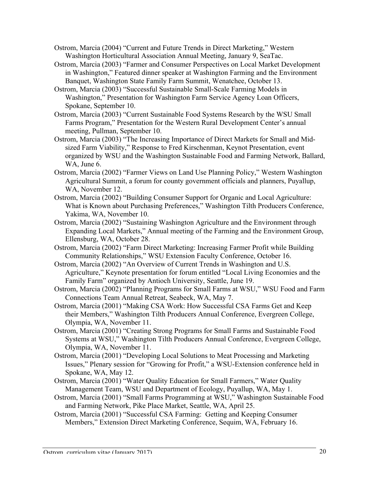- Ostrom, Marcia (2004) "Current and Future Trends in Direct Marketing," Western Washington Horticultural Association Annual Meeting, January 9, SeaTac.
- Ostrom, Marcia (2003) "Farmer and Consumer Perspectives on Local Market Development in Washington," Featured dinner speaker at Washington Farming and the Environment Banquet, Washington State Family Farm Summit, Wenatchee, October 13.
- Ostrom, Marcia (2003) "Successful Sustainable Small-Scale Farming Models in Washington," Presentation for Washington Farm Service Agency Loan Officers, Spokane, September 10.
- Ostrom, Marcia (2003) "Current Sustainable Food Systems Research by the WSU Small Farms Program," Presentation for the Western Rural Development Center's annual meeting, Pullman, September 10.
- Ostrom, Marcia (2003) "The Increasing Importance of Direct Markets for Small and Midsized Farm Viability," Response to Fred Kirschenman, Keynot Presentation, event organized by WSU and the Washington Sustainable Food and Farming Network, Ballard, WA, June 6.
- Ostrom, Marcia (2002) "Farmer Views on Land Use Planning Policy," Western Washington Agricultural Summit, a forum for county government officials and planners, Puyallup, WA, November 12.
- Ostrom, Marcia (2002) "Building Consumer Support for Organic and Local Agriculture: What is Known about Purchasing Preferences," Washington Tilth Producers Conference, Yakima, WA, November 10.
- Ostrom, Marcia (2002) "Sustaining Washington Agriculture and the Environment through Expanding Local Markets," Annual meeting of the Farming and the Environment Group, Ellensburg, WA, October 28.
- Ostrom, Marcia (2002) "Farm Direct Marketing: Increasing Farmer Profit while Building Community Relationships," WSU Extension Faculty Conference, October 16.
- Ostrom, Marcia (2002) "An Overview of Current Trends in Washington and U.S. Agriculture," Keynote presentation for forum entitled "Local Living Economies and the Family Farm" organized by Antioch University, Seattle, June 19.
- Ostrom, Marcia (2002) "Planning Programs for Small Farms at WSU," WSU Food and Farm Connections Team Annual Retreat, Seabeck, WA, May 7.
- Ostrom, Marcia (2001) "Making CSA Work: How Successful CSA Farms Get and Keep their Members," Washington Tilth Producers Annual Conference, Evergreen College, Olympia, WA, November 11.
- Ostrom, Marcia (2001) "Creating Strong Programs for Small Farms and Sustainable Food Systems at WSU," Washington Tilth Producers Annual Conference, Evergreen College, Olympia, WA, November 11.
- Ostrom, Marcia (2001) "Developing Local Solutions to Meat Processing and Marketing Issues," Plenary session for "Growing for Profit," a WSU-Extension conference held in Spokane, WA, May 12.
- Ostrom, Marcia (2001) "Water Quality Education for Small Farmers," Water Quality Management Team, WSU and Department of Ecology, Puyallup, WA, May 1.
- Ostrom, Marcia (2001) "Small Farms Programming at WSU," Washington Sustainable Food and Farming Network, Pike Place Market, Seattle, WA, April 25.
- Ostrom, Marcia (2001) "Successful CSA Farming: Getting and Keeping Consumer Members," Extension Direct Marketing Conference, Sequim, WA, February 16.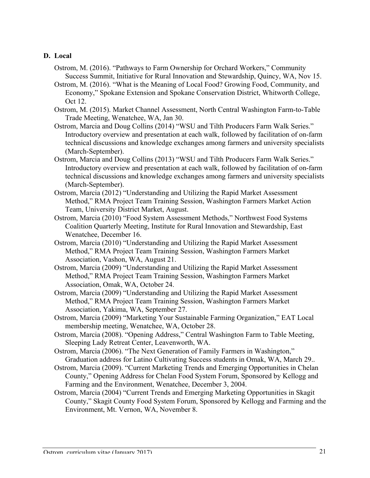#### **D. Local**

- Ostrom, M. (2016). "Pathways to Farm Ownership for Orchard Workers," Community Success Summit, Initiative for Rural Innovation and Stewardship, Quincy, WA, Nov 15.
- Ostrom, M. (2016). "What is the Meaning of Local Food? Growing Food, Community, and Economy," Spokane Extension and Spokane Conservation District, Whitworth College, Oct 12.
- Ostrom, M. (2015). Market Channel Assessment, North Central Washington Farm-to-Table Trade Meeting, Wenatchee, WA, Jan 30.
- Ostrom, Marcia and Doug Collins (2014) "WSU and Tilth Producers Farm Walk Series." Introductory overview and presentation at each walk, followed by facilitation of on-farm technical discussions and knowledge exchanges among farmers and university specialists (March-September).
- Ostrom, Marcia and Doug Collins (2013) "WSU and Tilth Producers Farm Walk Series." Introductory overview and presentation at each walk, followed by facilitation of on-farm technical discussions and knowledge exchanges among farmers and university specialists (March-September).
- Ostrom, Marcia (2012) "Understanding and Utilizing the Rapid Market Assessment Method," RMA Project Team Training Session, Washington Farmers Market Action Team, University District Market, August.
- Ostrom, Marcia (2010) "Food System Assessment Methods," Northwest Food Systems Coalition Quarterly Meeting, Institute for Rural Innovation and Stewardship, East Wenatchee, December 16.
- Ostrom, Marcia (2010) "Understanding and Utilizing the Rapid Market Assessment Method," RMA Project Team Training Session, Washington Farmers Market Association, Vashon, WA, August 21.
- Ostrom, Marcia (2009) "Understanding and Utilizing the Rapid Market Assessment Method," RMA Project Team Training Session, Washington Farmers Market Association, Omak, WA, October 24.
- Ostrom, Marcia (2009) "Understanding and Utilizing the Rapid Market Assessment Method," RMA Project Team Training Session, Washington Farmers Market Association, Yakima, WA, September 27.
- Ostrom, Marcia (2009) "Marketing Your Sustainable Farming Organization," EAT Local membership meeting, Wenatchee, WA, October 28.
- Ostrom, Marcia (2008). "Opening Address," Central Washington Farm to Table Meeting, Sleeping Lady Retreat Center, Leavenworth, WA.
- Ostrom, Marcia (2006). "The Next Generation of Family Farmers in Washington," Graduation address for Latino Cultivating Success students in Omak, WA, March 29..
- Ostrom, Marcia (2009). "Current Marketing Trends and Emerging Opportunities in Chelan County," Opening Address for Chelan Food System Forum, Sponsored by Kellogg and Farming and the Environment, Wenatchee, December 3, 2004.
- Ostrom, Marcia (2004) "Current Trends and Emerging Marketing Opportunities in Skagit County," Skagit County Food System Forum, Sponsored by Kellogg and Farming and the Environment, Mt. Vernon, WA, November 8.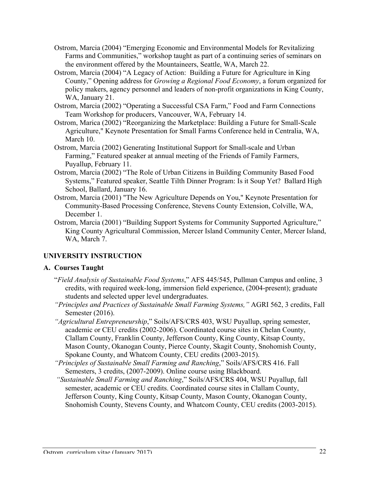- Ostrom, Marcia (2004) "Emerging Economic and Environmental Models for Revitalizing Farms and Communities," workshop taught as part of a continuing series of seminars on the environment offered by the Mountaineers, Seattle, WA, March 22.
- Ostrom, Marcia (2004) "A Legacy of Action: Building a Future for Agriculture in King County," Opening address for *Growing a Regional Food Economy*, a forum organized for policy makers, agency personnel and leaders of non-profit organizations in King County, WA, January 21.
- Ostrom, Marcia (2002) "Operating a Successful CSA Farm," Food and Farm Connections Team Workshop for producers, Vancouver, WA, February 14.
- Ostrom, Marica (2002) "Reorganizing the Marketplace: Building a Future for Small-Scale Agriculture," Keynote Presentation for Small Farms Conference held in Centralia, WA, March 10.
- Ostrom, Marcia (2002) Generating Institutional Support for Small-scale and Urban Farming," Featured speaker at annual meeting of the Friends of Family Farmers, Puyallup, February 11.
- Ostrom, Marcia (2002) "The Role of Urban Citizens in Building Community Based Food Systems," Featured speaker, Seattle Tilth Dinner Program: Is it Soup Yet? Ballard High School, Ballard, January 16.
- Ostrom, Marcia (2001) "The New Agriculture Depends on You," Keynote Presentation for Community-Based Processing Conference, Stevens County Extension, Colville, WA, December 1.
- Ostrom, Marcia (2001) "Building Support Systems for Community Supported Agriculture," King County Agricultural Commission, Mercer Island Community Center, Mercer Island, WA, March 7.

# **UNIVERSITY INSTRUCTION**

# **A. Courses Taught**

- "*Field Analysis of Sustainable Food Systems*," AFS 445/545, Pullman Campus and online, 3 credits, with required week-long, immersion field experience, (2004-present); graduate students and selected upper level undergraduates.
- *"Principles and Practices of Sustainable Small Farming Systems,"* AGRI 562, 3 credits, Fall Semester (2016).
- *"Agricultural Entrepreneurship*," Soils/AFS/CRS 403, WSU Puyallup, spring semester, academic or CEU credits (2002-2006). Coordinated course sites in Chelan County, Clallam County, Franklin County, Jefferson County, King County, Kitsap County, Mason County, Okanogan County, Pierce County, Skagit County, Snohomish County, Spokane County, and Whatcom County, CEU credits (2003-2015).
- *"Principles of Sustainable Small Farming and Ranching*," Soils/AFS/CRS 416. Fall Semesters, 3 credits, (2007-2009). Online course using Blackboard.
- *"Sustainable Small Farming and Ranching*," Soils/AFS/CRS 404, WSU Puyallup, fall semester, academic or CEU credits. Coordinated course sites in Clallam County, Jefferson County, King County, Kitsap County, Mason County, Okanogan County, Snohomish County, Stevens County, and Whatcom County, CEU credits (2003-2015).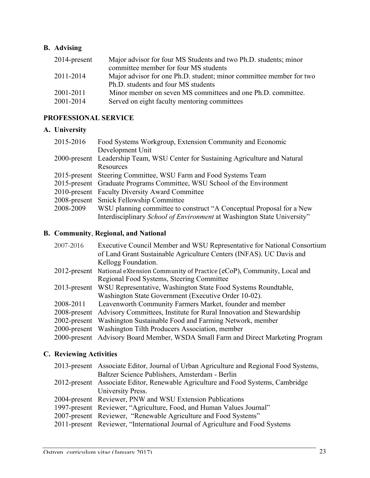## **B. Advising**

|           | 2014-present | Major advisor for four MS Students and two Ph.D. students; minor    |
|-----------|--------------|---------------------------------------------------------------------|
|           |              | committee member for four MS students                               |
| 2011-2014 |              | Major advisor for one Ph.D. student; minor committee member for two |
|           |              | Ph.D. students and four MS students                                 |
| 2001-2011 |              | Minor member on seven MS committees and one Ph.D. committee.        |
| 2001-2014 |              | Served on eight faculty mentoring committees                        |

# **PROFESSIONAL SERVICE**

### **A. University**

| Food Systems Workgroup, Extension Community and Economic                        |
|---------------------------------------------------------------------------------|
| Development Unit                                                                |
| 2000-present Leadership Team, WSU Center for Sustaining Agriculture and Natural |
| Resources                                                                       |
| 2015-present Steering Committee, WSU Farm and Food Systems Team                 |
| 2015-present Graduate Programs Committee, WSU School of the Environment         |
| 2010-present Faculty Diversity Award Committee                                  |
| 2008-present Smick Fellowship Committee                                         |
| WSU planning committee to construct "A Conceptual Proposal for a New            |
| Interdisciplinary School of Environment at Washington State University"         |
|                                                                                 |

## **B. Community**, **Regional, and National**

|           | Executive Council Member and WSU Representative for National Consortium            |
|-----------|------------------------------------------------------------------------------------|
|           | of Land Grant Sustainable Agriculture Centers (INFAS). UC Davis and                |
|           | Kellogg Foundation.                                                                |
|           | 2012-present National eXtension Community of Practice (eCoP), Community, Local and |
|           | Regional Food Systems, Steering Committee                                          |
|           | 2013-present WSU Representative, Washington State Food Systems Roundtable,         |
|           | Washington State Government (Executive Order 10-02).                               |
| 2008-2011 | Leavenworth Community Farmers Market, founder and member                           |
|           | 2008-present Advisory Committees, Institute for Rural Innovation and Stewardship   |
|           | 2002-present Washington Sustainable Food and Farming Network, member               |
|           | 2000-present Washington Tilth Producers Association, member                        |
|           | 2000-present Advisory Board Member, WSDA Small Farm and Direct Marketing Program   |
|           | 2007-2016                                                                          |

# **C. Reviewing Activities**

| 2013-present Associate Editor, Journal of Urban Agriculture and Regional Food Systems, |
|----------------------------------------------------------------------------------------|
| Baltzer Science Publishers, Amsterdam - Berlin                                         |
| 2012-present Associate Editor, Renewable Agriculture and Food Systems, Cambridge       |
| University Press.                                                                      |
| 2004-present Reviewer, PNW and WSU Extension Publications                              |
| 1997-present Reviewer, "Agriculture, Food, and Human Values Journal"                   |
| 2007-present Reviewer, "Renewable Agriculture and Food Systems"                        |
| 2011-present Reviewer, "International Journal of Agriculture and Food Systems"         |
|                                                                                        |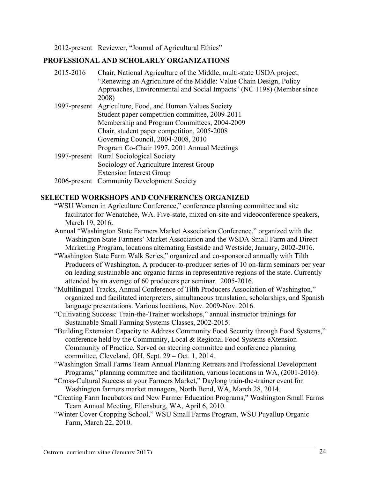2012-present Reviewer, "Journal of Agricultural Ethics"

### **PROFESSIONAL AND SCHOLARLY ORGANIZATIONS**

2015-2016 Chair, National Agriculture of the Middle, multi-state USDA project, "Renewing an Agriculture of the Middle: Value Chain Design, Policy Approaches, Environmental and Social Impacts" (NC 1198) (Member since 2008) 1997-present Agriculture, Food, and Human Values Society Student paper competition committee, 2009-2011 Membership and Program Committees, 2004-2009 Chair, student paper competition, 2005-2008 Governing Council, 2004-2008, 2010 Program Co-Chair 1997, 2001 Annual Meetings 1997-present Rural Sociological Society Sociology of Agriculture Interest Group Extension Interest Group 2006-present Community Development Society

### **SELECTED WORKSHOPS AND CONFERENCES ORGANIZED**

- "WSU Women in Agriculture Conference," conference planning committee and site facilitator for Wenatchee, WA. Five-state, mixed on-site and videoconference speakers, March 19, 2016.
- Annual "Washington State Farmers Market Association Conference," organized with the Washington State Farmers' Market Association and the WSDA Small Farm and Direct Marketing Program, locations alternating Eastside and Westside, January, 2002-2016.
- "Washington State Farm Walk Series," organized and co-sponsored annually with Tilth Producers of Washington. A producer-to-producer series of 10 on-farm seminars per year on leading sustainable and organic farms in representative regions of the state. Currently attended by an average of 60 producers per seminar. 2005-2016.
- "Multilingual Tracks, Annual Conference of Tilth Producers Association of Washington," organized and facilitated interpreters, simultaneous translation, scholarships, and Spanish language presentations. Various locations, Nov. 2009-Nov. 2016.
- "Cultivating Success: Train-the-Trainer workshops," annual instructor trainings for Sustainable Small Farming Systems Classes, 2002-2015.
- "Building Extension Capacity to Address Community Food Security through Food Systems," conference held by the Community, Local & Regional Food Systems eXtension Community of Practice. Served on steering committee and conference planning committee, Cleveland, OH, Sept. 29 – Oct. 1, 2014.
- "Washington Small Farms Team Annual Planning Retreats and Professional Development Programs," planning committee and facilitation, various locations in WA, (2001-2016).
- "Cross-Cultural Success at your Farmers Market," Daylong train-the-trainer event for Washington farmers market managers, North Bend, WA, March 28, 2014.
- "Creating Farm Incubators and New Farmer Education Programs," Washington Small Farms Team Annual Meeting, Ellensburg, WA, April 6, 2010.
- "Winter Cover Cropping School," WSU Small Farms Program, WSU Puyallup Organic Farm, March 22, 2010.